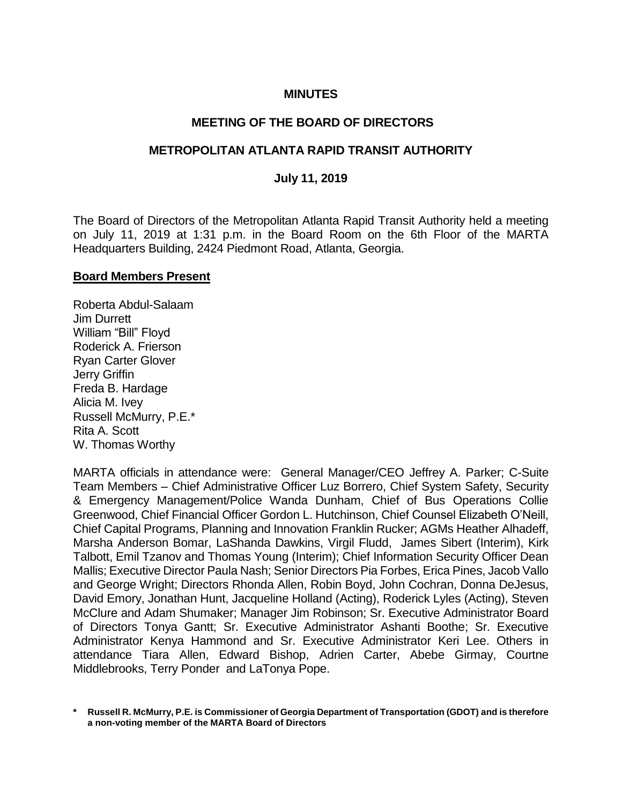# **MINUTES**

## **MEETING OF THE BOARD OF DIRECTORS**

## **METROPOLITAN ATLANTA RAPID TRANSIT AUTHORITY**

### **July 11, 2019**

The Board of Directors of the Metropolitan Atlanta Rapid Transit Authority held a meeting on July 11, 2019 at 1:31 p.m. in the Board Room on the 6th Floor of the MARTA Headquarters Building, 2424 Piedmont Road, Atlanta, Georgia.

#### **Board Members Present**

Roberta Abdul-Salaam Jim Durrett William "Bill" Floyd Roderick A. Frierson Ryan Carter Glover Jerry Griffin Freda B. Hardage Alicia M. Ivey Russell McMurry, P.E.\* Rita A. Scott W. Thomas Worthy

MARTA officials in attendance were: General Manager/CEO Jeffrey A. Parker; C-Suite Team Members – Chief Administrative Officer Luz Borrero, Chief System Safety, Security & Emergency Management/Police Wanda Dunham, Chief of Bus Operations Collie Greenwood, Chief Financial Officer Gordon L. Hutchinson, Chief Counsel Elizabeth O'Neill, Chief Capital Programs, Planning and Innovation Franklin Rucker; AGMs Heather Alhadeff, Marsha Anderson Bomar, LaShanda Dawkins, Virgil Fludd, James Sibert (Interim), Kirk Talbott, Emil Tzanov and Thomas Young (Interim); Chief Information Security Officer Dean Mallis; Executive Director Paula Nash; Senior Directors Pia Forbes, Erica Pines, Jacob Vallo and George Wright; Directors Rhonda Allen, Robin Boyd, John Cochran, Donna DeJesus, David Emory, Jonathan Hunt, Jacqueline Holland (Acting), Roderick Lyles (Acting), Steven McClure and Adam Shumaker; Manager Jim Robinson; Sr. Executive Administrator Board of Directors Tonya Gantt; Sr. Executive Administrator Ashanti Boothe; Sr. Executive Administrator Kenya Hammond and Sr. Executive Administrator Keri Lee. Others in attendance Tiara Allen, Edward Bishop, Adrien Carter, Abebe Girmay, Courtne Middlebrooks, Terry Ponder and LaTonya Pope.

**\* Russell R. McMurry, P.E. is Commissioner of Georgia Department of Transportation (GDOT) and is therefore a non-voting member of the MARTA Board of Directors**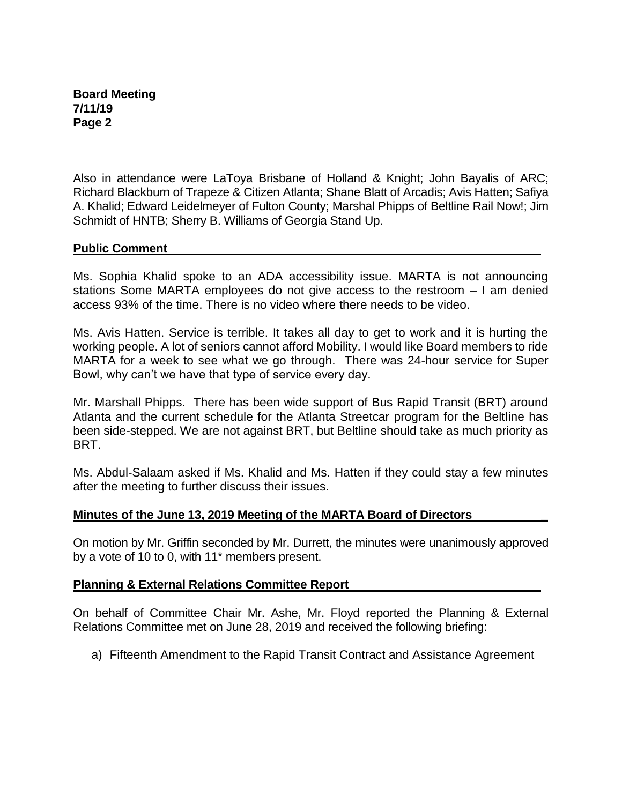**Board Meeting 7/11/19 Page 2**

Also in attendance were LaToya Brisbane of Holland & Knight; John Bayalis of ARC; Richard Blackburn of Trapeze & Citizen Atlanta; Shane Blatt of Arcadis; Avis Hatten; Safiya A. Khalid; Edward Leidelmeyer of Fulton County; Marshal Phipps of Beltline Rail Now!; Jim Schmidt of HNTB; Sherry B. Williams of Georgia Stand Up.

## **Public Comment**

Ms. Sophia Khalid spoke to an ADA accessibility issue. MARTA is not announcing stations Some MARTA employees do not give access to the restroom – I am denied access 93% of the time. There is no video where there needs to be video.

Ms. Avis Hatten. Service is terrible. It takes all day to get to work and it is hurting the working people. A lot of seniors cannot afford Mobility. I would like Board members to ride MARTA for a week to see what we go through. There was 24-hour service for Super Bowl, why can't we have that type of service every day.

Mr. Marshall Phipps. There has been wide support of Bus Rapid Transit (BRT) around Atlanta and the current schedule for the Atlanta Streetcar program for the Beltline has been side-stepped. We are not against BRT, but Beltline should take as much priority as BRT.

Ms. Abdul-Salaam asked if Ms. Khalid and Ms. Hatten if they could stay a few minutes after the meeting to further discuss their issues.

# **Minutes of the June 13, 2019 Meeting of the MARTA Board of Directors \_**

On motion by Mr. Griffin seconded by Mr. Durrett, the minutes were unanimously approved by a vote of 10 to 0, with 11\* members present.

### **Planning & External Relations Committee Report**

On behalf of Committee Chair Mr. Ashe, Mr. Floyd reported the Planning & External Relations Committee met on June 28, 2019 and received the following briefing:

a) Fifteenth Amendment to the Rapid Transit Contract and Assistance Agreement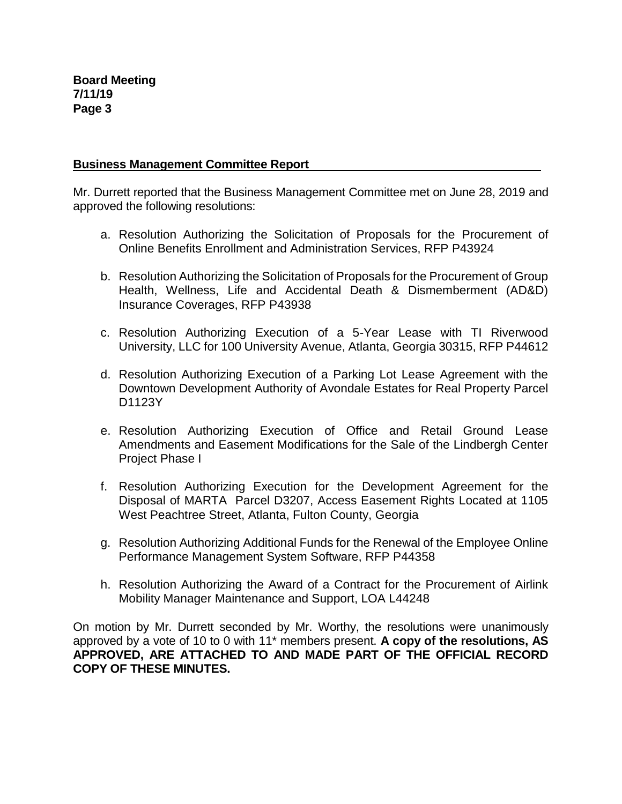## **Business Management Committee Report**

Mr. Durrett reported that the Business Management Committee met on June 28, 2019 and approved the following resolutions:

- a. Resolution Authorizing the Solicitation of Proposals for the Procurement of Online Benefits Enrollment and Administration Services, RFP P43924
- b. Resolution Authorizing the Solicitation of Proposals for the Procurement of Group Health, Wellness, Life and Accidental Death & Dismemberment (AD&D) Insurance Coverages, RFP P43938
- c. Resolution Authorizing Execution of a 5-Year Lease with TI Riverwood University, LLC for 100 University Avenue, Atlanta, Georgia 30315, RFP P44612
- d. Resolution Authorizing Execution of a Parking Lot Lease Agreement with the Downtown Development Authority of Avondale Estates for Real Property Parcel D1123Y
- e. Resolution Authorizing Execution of Office and Retail Ground Lease Amendments and Easement Modifications for the Sale of the Lindbergh Center Project Phase I
- f. Resolution Authorizing Execution for the Development Agreement for the Disposal of MARTA Parcel D3207, Access Easement Rights Located at 1105 West Peachtree Street, Atlanta, Fulton County, Georgia
- g. Resolution Authorizing Additional Funds for the Renewal of the Employee Online Performance Management System Software, RFP P44358
- h. Resolution Authorizing the Award of a Contract for the Procurement of Airlink Mobility Manager Maintenance and Support, LOA L44248

On motion by Mr. Durrett seconded by Mr. Worthy, the resolutions were unanimously approved by a vote of 10 to 0 with 11\* members present. **A copy of the resolutions, AS APPROVED, ARE ATTACHED TO AND MADE PART OF THE OFFICIAL RECORD COPY OF THESE MINUTES.**